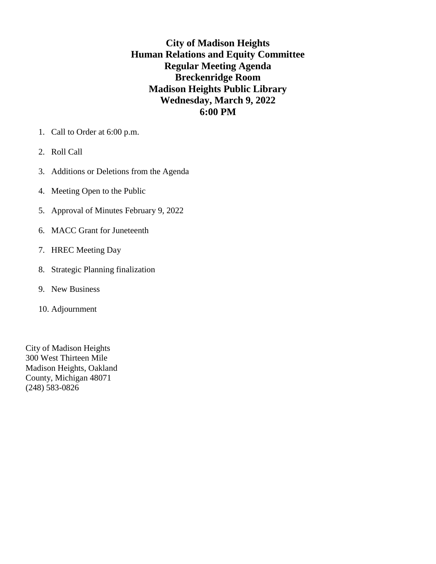**City of Madison Heights Human Relations and Equity Committee Regular Meeting Agenda Breckenridge Room Madison Heights Public Library Wednesday, March 9, 2022 6:00 PM**

- 1. Call to Order at 6:00 p.m.
- 2. Roll Call
- 3. Additions or Deletions from the Agenda
- 4. Meeting Open to the Public
- 5. Approval of Minutes February 9, 2022
- 6. MACC Grant for Juneteenth
- 7. HREC Meeting Day
- 8. Strategic Planning finalization
- 9. New Business
- 10. Adjournment

City of Madison Heights 300 West Thirteen Mile Madison Heights, Oakland County, Michigan 48071 (248) 583-0826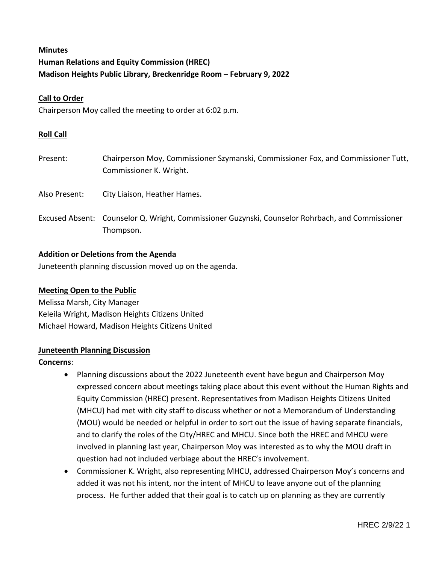# **Minutes Human Relations and Equity Commission (HREC) Madison Heights Public Library, Breckenridge Room – February 9, 2022**

# **Call to Order**

Chairperson Moy called the meeting to order at 6:02 p.m.

### **Roll Call**

- Present: Chairperson Moy, Commissioner Szymanski, Commissioner Fox, and Commissioner Tutt, Commissioner K. Wright.
- Also Present: City Liaison, Heather Hames.
- Excused Absent: Counselor Q. Wright, Commissioner Guzynski, Counselor Rohrbach, and Commissioner Thompson.

#### **Addition or Deletions from the Agenda**

Juneteenth planning discussion moved up on the agenda.

#### **Meeting Open to the Public**

Melissa Marsh, City Manager Keleila Wright, Madison Heights Citizens United Michael Howard, Madison Heights Citizens United

# **Juneteenth Planning Discussion**

#### **Concerns**:

- Planning discussions about the 2022 Juneteenth event have begun and Chairperson Moy expressed concern about meetings taking place about this event without the Human Rights and Equity Commission (HREC) present. Representatives from Madison Heights Citizens United (MHCU) had met with city staff to discuss whether or not a Memorandum of Understanding (MOU) would be needed or helpful in order to sort out the issue of having separate financials, and to clarify the roles of the City/HREC and MHCU. Since both the HREC and MHCU were involved in planning last year, Chairperson Moy was interested as to why the MOU draft in question had not included verbiage about the HREC's involvement.
- Commissioner K. Wright, also representing MHCU, addressed Chairperson Moy's concerns and added it was not his intent, nor the intent of MHCU to leave anyone out of the planning process. He further added that their goal is to catch up on planning as they are currently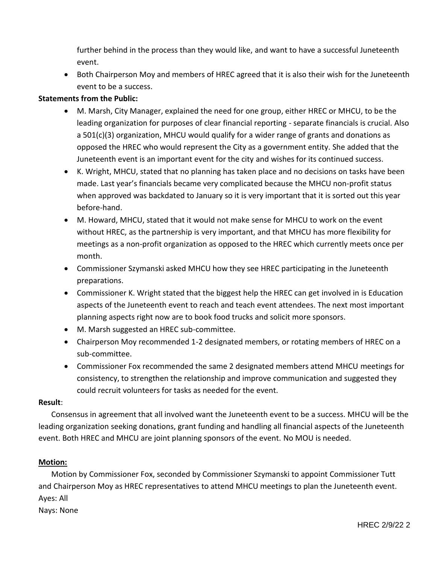further behind in the process than they would like, and want to have a successful Juneteenth event.

• Both Chairperson Moy and members of HREC agreed that it is also their wish for the Juneteenth event to be a success.

# **Statements from the Public:**

- M. Marsh, City Manager, explained the need for one group, either HREC or MHCU, to be the leading organization for purposes of clear financial reporting - separate financials is crucial. Also a 501(c)(3) organization, MHCU would qualify for a wider range of grants and donations as opposed the HREC who would represent the City as a government entity. She added that the Juneteenth event is an important event for the city and wishes for its continued success.
- K. Wright, MHCU, stated that no planning has taken place and no decisions on tasks have been made. Last year's financials became very complicated because the MHCU non-profit status when approved was backdated to January so it is very important that it is sorted out this year before-hand.
- M. Howard, MHCU, stated that it would not make sense for MHCU to work on the event without HREC, as the partnership is very important, and that MHCU has more flexibility for meetings as a non-profit organization as opposed to the HREC which currently meets once per month.
- Commissioner Szymanski asked MHCU how they see HREC participating in the Juneteenth preparations.
- Commissioner K. Wright stated that the biggest help the HREC can get involved in is Education aspects of the Juneteenth event to reach and teach event attendees. The next most important planning aspects right now are to book food trucks and solicit more sponsors.
- M. Marsh suggested an HREC sub-committee.
- Chairperson Moy recommended 1-2 designated members, or rotating members of HREC on a sub-committee.
- Commissioner Fox recommended the same 2 designated members attend MHCU meetings for consistency, to strengthen the relationship and improve communication and suggested they could recruit volunteers for tasks as needed for the event.

### **Result**:

Consensus in agreement that all involved want the Juneteenth event to be a success. MHCU will be the leading organization seeking donations, grant funding and handling all financial aspects of the Juneteenth event. Both HREC and MHCU are joint planning sponsors of the event. No MOU is needed.

### **Motion:**

Motion by Commissioner Fox, seconded by Commissioner Szymanski to appoint Commissioner Tutt and Chairperson Moy as HREC representatives to attend MHCU meetings to plan the Juneteenth event. Ayes: All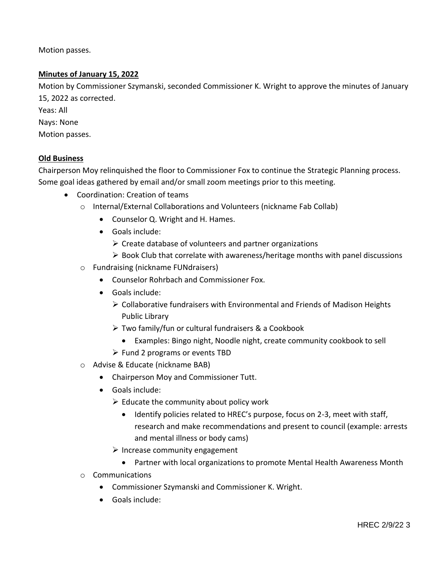Motion passes.

# **Minutes of January 15, 2022**

Motion by Commissioner Szymanski, seconded Commissioner K. Wright to approve the minutes of January 15, 2022 as corrected.

Yeas: All

- Nays: None
- Motion passes.

# **Old Business**

Chairperson Moy relinquished the floor to Commissioner Fox to continue the Strategic Planning process. Some goal ideas gathered by email and/or small zoom meetings prior to this meeting.

- Coordination: Creation of teams
	- o Internal/External Collaborations and Volunteers (nickname Fab Collab)
		- Counselor Q. Wright and H. Hames.
		- Goals include:
			- $\triangleright$  Create database of volunteers and partner organizations
			- $\triangleright$  Book Club that correlate with awareness/heritage months with panel discussions
	- o Fundraising (nickname FUNdraisers)
		- Counselor Rohrbach and Commissioner Fox.
		- Goals include:
			- $\triangleright$  Collaborative fundraisers with Environmental and Friends of Madison Heights Public Library
			- Two family/fun or cultural fundraisers & a Cookbook
				- Examples: Bingo night, Noodle night, create community cookbook to sell
			- $\triangleright$  Fund 2 programs or events TBD
	- o Advise & Educate (nickname BAB)
		- Chairperson Moy and Commissioner Tutt.
		- Goals include:
			- $\triangleright$  Educate the community about policy work
				- Identify policies related to HREC's purpose, focus on 2-3, meet with staff, research and make recommendations and present to council (example: arrests and mental illness or body cams)
			- $\triangleright$  Increase community engagement
				- Partner with local organizations to promote Mental Health Awareness Month
	- o Communications
		- Commissioner Szymanski and Commissioner K. Wright.
		- Goals include: